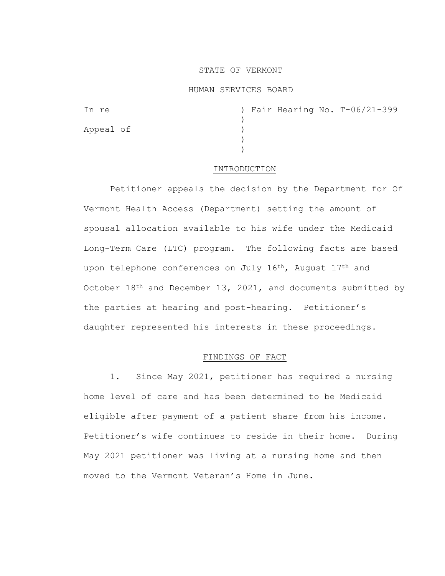### STATE OF VERMONT

### HUMAN SERVICES BOARD

| In re     |  |  | ) Fair Hearing No. T-06/21-399 |
|-----------|--|--|--------------------------------|
|           |  |  |                                |
| Appeal of |  |  |                                |
|           |  |  |                                |
|           |  |  |                                |

### INTRODUCTION

Petitioner appeals the decision by the Department for Of Vermont Health Access (Department) setting the amount of spousal allocation available to his wife under the Medicaid Long-Term Care (LTC) program. The following facts are based upon telephone conferences on July 16th, August 17th and October 18<sup>th</sup> and December 13, 2021, and documents submitted by the parties at hearing and post-hearing. Petitioner's daughter represented his interests in these proceedings.

# FINDINGS OF FACT

1. Since May 2021, petitioner has required a nursing home level of care and has been determined to be Medicaid eligible after payment of a patient share from his income. Petitioner's wife continues to reside in their home. During May 2021 petitioner was living at a nursing home and then moved to the Vermont Veteran's Home in June.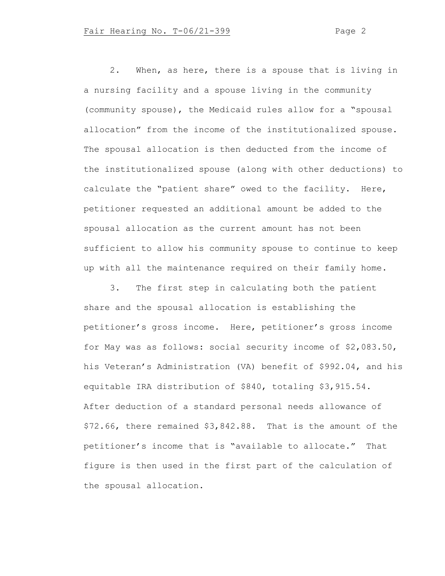2. When, as here, there is a spouse that is living in a nursing facility and a spouse living in the community (community spouse), the Medicaid rules allow for a "spousal allocation" from the income of the institutionalized spouse. The spousal allocation is then deducted from the income of the institutionalized spouse (along with other deductions) to calculate the "patient share" owed to the facility. Here, petitioner requested an additional amount be added to the spousal allocation as the current amount has not been sufficient to allow his community spouse to continue to keep up with all the maintenance required on their family home.

3. The first step in calculating both the patient share and the spousal allocation is establishing the petitioner's gross income. Here, petitioner's gross income for May was as follows: social security income of \$2,083.50, his Veteran's Administration (VA) benefit of \$992.04, and his equitable IRA distribution of \$840, totaling \$3,915.54. After deduction of a standard personal needs allowance of \$72.66, there remained \$3,842.88. That is the amount of the petitioner's income that is "available to allocate." That figure is then used in the first part of the calculation of the spousal allocation.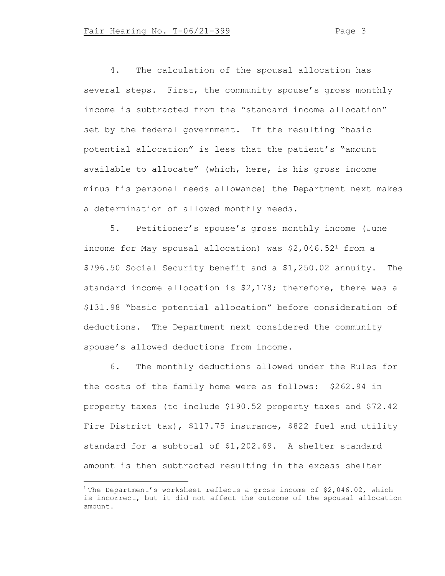4. The calculation of the spousal allocation has several steps. First, the community spouse's gross monthly income is subtracted from the "standard income allocation" set by the federal government. If the resulting "basic potential allocation" is less that the patient's "amount available to allocate" (which, here, is his gross income minus his personal needs allowance) the Department next makes a determination of allowed monthly needs.

5. Petitioner's spouse's gross monthly income (June income for May spousal allocation) was \$2,046.52<sup>1</sup> from a \$796.50 Social Security benefit and a \$1,250.02 annuity. The standard income allocation is \$2,178; therefore, there was a \$131.98 "basic potential allocation" before consideration of deductions. The Department next considered the community spouse's allowed deductions from income.

6. The monthly deductions allowed under the Rules for the costs of the family home were as follows: \$262.94 in property taxes (to include \$190.52 property taxes and \$72.42 Fire District tax), \$117.75 insurance, \$822 fuel and utility standard for a subtotal of \$1,202.69. A shelter standard amount is then subtracted resulting in the excess shelter

<sup>&</sup>lt;sup>1</sup> The Department's worksheet reflects a gross income of \$2,046.02, which is incorrect, but it did not affect the outcome of the spousal allocation amount.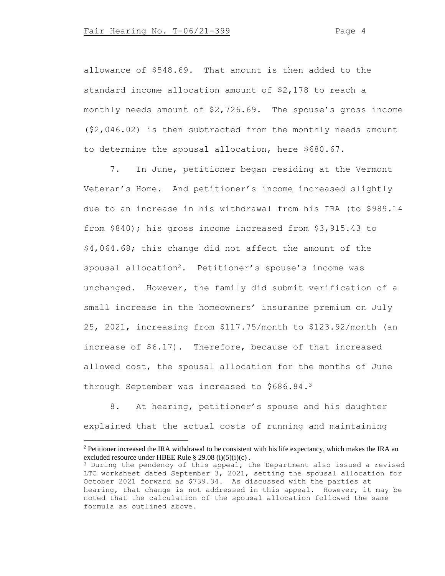allowance of \$548.69. That amount is then added to the standard income allocation amount of \$2,178 to reach a monthly needs amount of \$2,726.69. The spouse's gross income (\$2,046.02) is then subtracted from the monthly needs amount to determine the spousal allocation, here \$680.67.

7. In June, petitioner began residing at the Vermont Veteran's Home. And petitioner's income increased slightly due to an increase in his withdrawal from his IRA (to \$989.14 from \$840); his gross income increased from \$3,915.43 to \$4,064.68; this change did not affect the amount of the spousal allocation<sup>2</sup>. Petitioner's spouse's income was unchanged. However, the family did submit verification of a small increase in the homeowners' insurance premium on July 25, 2021, increasing from \$117.75/month to \$123.92/month (an increase of \$6.17). Therefore, because of that increased allowed cost, the spousal allocation for the months of June through September was increased to \$686.84.<sup>3</sup>

8. At hearing, petitioner's spouse and his daughter explained that the actual costs of running and maintaining

<sup>&</sup>lt;sup>2</sup> Petitioner increased the IRA withdrawal to be consistent with his life expectancy, which makes the IRA an excluded resource under HBEE Rule § 29.08 (i)(5)(i)(c) .

<sup>&</sup>lt;sup>3</sup> During the pendency of this appeal, the Department also issued a revised LTC worksheet dated September 3, 2021, setting the spousal allocation for October 2021 forward as \$739.34. As discussed with the parties at hearing, that change is not addressed in this appeal. However, it may be noted that the calculation of the spousal allocation followed the same formula as outlined above.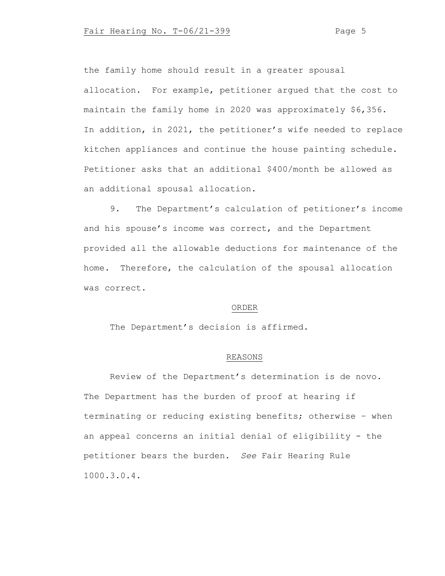the family home should result in a greater spousal allocation. For example, petitioner argued that the cost to maintain the family home in 2020 was approximately \$6,356. In addition, in 2021, the petitioner's wife needed to replace kitchen appliances and continue the house painting schedule. Petitioner asks that an additional \$400/month be allowed as an additional spousal allocation.

9. The Department's calculation of petitioner's income and his spouse's income was correct, and the Department provided all the allowable deductions for maintenance of the home. Therefore, the calculation of the spousal allocation was correct.

### ORDER

The Department's decision is affirmed.

## REASONS

Review of the Department's determination is de novo. The Department has the burden of proof at hearing if terminating or reducing existing benefits; otherwise – when an appeal concerns an initial denial of eligibility - the petitioner bears the burden. *See* Fair Hearing Rule 1000.3.0.4.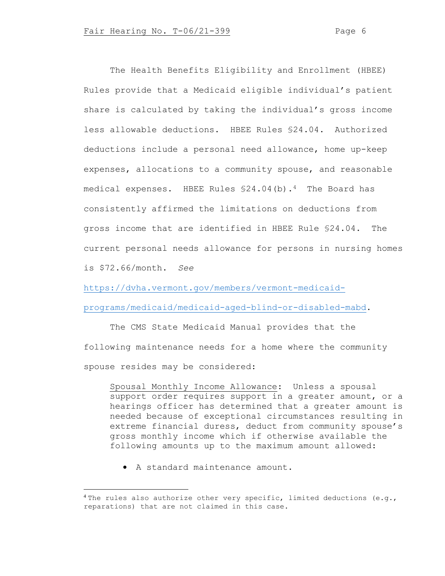The Health Benefits Eligibility and Enrollment (HBEE) Rules provide that a Medicaid eligible individual's patient share is calculated by taking the individual's gross income less allowable deductions. HBEE Rules §24.04. Authorized deductions include a personal need allowance, home up-keep expenses, allocations to a community spouse, and reasonable medical expenses. HBEE Rules  $$24.04(b)$ .<sup>4</sup> The Board has consistently affirmed the limitations on deductions from gross income that are identified in HBEE Rule §24.04. The current personal needs allowance for persons in nursing homes is \$72.66/month. *See*

[https://dvha.vermont.gov/members/vermont-medicaid-](https://dvha.vermont.gov/members/vermont-medicaid-programs/medicaid/medicaid-aged-blind-or-disabled-mabd)

[programs/medicaid/medicaid-aged-blind-or-disabled-mabd.](https://dvha.vermont.gov/members/vermont-medicaid-programs/medicaid/medicaid-aged-blind-or-disabled-mabd)

The CMS State Medicaid Manual provides that the following maintenance needs for a home where the community spouse resides may be considered:

Spousal Monthly Income Allowance: Unless a spousal support order requires support in a greater amount, or a hearings officer has determined that a greater amount is needed because of exceptional circumstances resulting in extreme financial duress, deduct from community spouse's gross monthly income which if otherwise available the following amounts up to the maximum amount allowed:

• A standard maintenance amount.

<sup>&</sup>lt;sup>4</sup> The rules also authorize other very specific, limited deductions (e.g., reparations) that are not claimed in this case.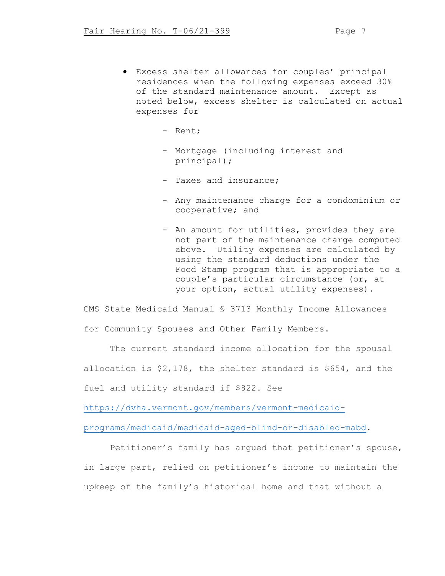- Excess shelter allowances for couples' principal residences when the following expenses exceed 30% of the standard maintenance amount. Except as noted below, excess shelter is calculated on actual expenses for
	- Rent;
	- Mortgage (including interest and principal);
	- Taxes and insurance;
	- Any maintenance charge for a condominium or cooperative; and
	- An amount for utilities, provides they are not part of the maintenance charge computed above. Utility expenses are calculated by using the standard deductions under the Food Stamp program that is appropriate to a couple's particular circumstance (or, at your option, actual utility expenses).

CMS State Medicaid Manual § 3713 Monthly Income Allowances for Community Spouses and Other Family Members.

The current standard income allocation for the spousal allocation is \$2,178, the shelter standard is \$654, and the fuel and utility standard if \$822. See

[https://dvha.vermont.gov/members/vermont-medicaid-](https://dvha.vermont.gov/members/vermont-medicaid-programs/medicaid/medicaid-aged-blind-or-disabled-mabd)

[programs/medicaid/medicaid-aged-blind-or-disabled-mabd.](https://dvha.vermont.gov/members/vermont-medicaid-programs/medicaid/medicaid-aged-blind-or-disabled-mabd)

Petitioner's family has argued that petitioner's spouse, in large part, relied on petitioner's income to maintain the upkeep of the family's historical home and that without a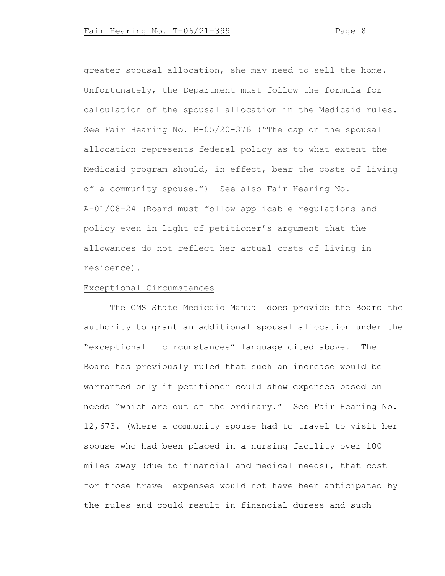greater spousal allocation, she may need to sell the home. Unfortunately, the Department must follow the formula for calculation of the spousal allocation in the Medicaid rules. See Fair Hearing No. B-05/20-376 ("The cap on the spousal allocation represents federal policy as to what extent the Medicaid program should, in effect, bear the costs of living of a community spouse.") See also Fair Hearing No. A-01/08-24 (Board must follow applicable regulations and policy even in light of petitioner's argument that the allowances do not reflect her actual costs of living in residence).

# Exceptional Circumstances

The CMS State Medicaid Manual does provide the Board the authority to grant an additional spousal allocation under the "exceptional circumstances" language cited above. The Board has previously ruled that such an increase would be warranted only if petitioner could show expenses based on needs "which are out of the ordinary." See Fair Hearing No. 12,673. (Where a community spouse had to travel to visit her spouse who had been placed in a nursing facility over 100 miles away (due to financial and medical needs), that cost for those travel expenses would not have been anticipated by the rules and could result in financial duress and such